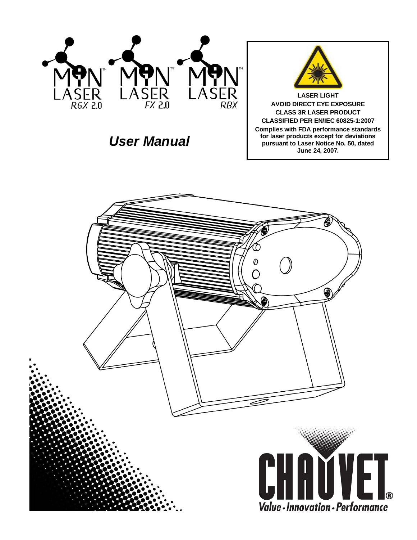

*User Manual*



**LASER LIGHT AVOID DIRECT EYE EXPOSURE CLASS 3R LASER PRODUCT CLASSIFIED PER EN/IEC 60825-1:2007 Complies with FDA performance standards for laser products except for deviations pursuant to Laser Notice No. 50, dated June 24, 2007.**

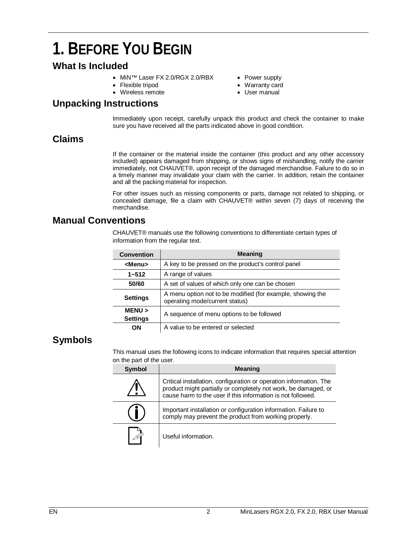## **1. BEFORE YOU BEGIN**

### **What Is Included**

- MiN™ Laser FX 2.0/RGX 2.0/RBX
- Flexible tripod
- Wireless remote

### **Unpacking Instructions**

- Power supply
- Warranty card
- User manual

Immediately upon receipt, carefully unpack this product and check the container to make sure you have received all the parts indicated above in good condition.

### **Claims**

If the container or the material inside the container (this product and any other accessory included) appears damaged from shipping, or shows signs of mishandling, notify the carrier immediately, not CHAUVET®, upon receipt of the damaged merchandise. Failure to do so in a timely manner may invalidate your claim with the carrier. In addition, retain the container and all the packing material for inspection.

For other issues such as missing components or parts, damage not related to shipping, or concealed damage, file a claim with CHAUVET® within seven (7) days of receiving the merchandise.

### **Manual Conventions**

CHAUVET® manuals use the following conventions to differentiate certain types of information from the regular text.

| <b>Convention</b>         | <b>Meaning</b>                                                                               |
|---------------------------|----------------------------------------------------------------------------------------------|
| <menu></menu>             | A key to be pressed on the product's control panel                                           |
| $1 - 512$                 | A range of values                                                                            |
| 50/60                     | A set of values of which only one can be chosen                                              |
| <b>Settings</b>           | A menu option not to be modified (for example, showing the<br>operating mode/current status) |
| MENU ><br><b>Settings</b> | A sequence of menu options to be followed                                                    |
| OΝ                        | A value to be entered or selected                                                            |

### **Symbols**

This manual uses the following icons to indicate information that requires special attention on the part of the user.

| Symbol | <b>Meaning</b>                                                                                                                                                                                      |
|--------|-----------------------------------------------------------------------------------------------------------------------------------------------------------------------------------------------------|
|        | Critical installation, configuration or operation information. The<br>product might partially or completely not work, be damaged, or<br>cause harm to the user if this information is not followed. |
|        | Important installation or configuration information. Failure to<br>comply may prevent the product from working properly.                                                                            |
|        | Useful information.                                                                                                                                                                                 |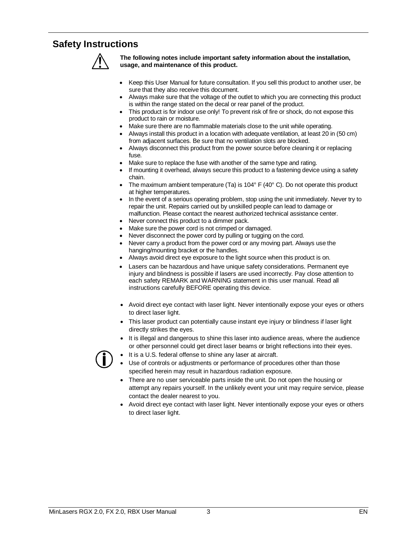### **Safety Instructions**



**The following notes include important safety information about the installation, usage, and maintenance of this product.**

- Keep this User Manual for future consultation. If you sell this product to another user, be sure that they also receive this document.
- Always make sure that the voltage of the outlet to which you are connecting this product is within the range stated on the decal or rear panel of the product.
- This product is for indoor use only! To prevent risk of fire or shock, do not expose this product to rain or moisture.
- Make sure there are no flammable materials close to the unit while operating.
- Always install this product in a location with adequate ventilation, at least 20 in (50 cm) from adjacent surfaces. Be sure that no ventilation slots are blocked.
- Always disconnect this product from the power source before cleaning it or replacing fuse.
- Make sure to replace the fuse with another of the same type and rating.
- If mounting it overhead, always secure this product to a fastening device using a safety chain.
- The maximum ambient temperature  $(Ta)$  is 104 $\degree$  F (40 $\degree$  C). Do not operate this product at higher temperatures.
- In the event of a serious operating problem, stop using the unit immediately. Never try to repair the unit. Repairs carried out by unskilled people can lead to damage or malfunction. Please contact the nearest authorized technical assistance center.
- Never connect this product to a dimmer pack.
- Make sure the power cord is not crimped or damaged.
- Never disconnect the power cord by pulling or tugging on the cord.
- Never carry a product from the power cord or any moving part. Always use the hanging/mounting bracket or the handles.
- Always avoid direct eye exposure to the light source when this product is on.
- Lasers can be hazardous and have unique safety considerations. Permanent eye injury and blindness is possible if lasers are used incorrectly. Pay close attention to each safety REMARK and WARNING statement in this user manual. Read all instructions carefully BEFORE operating this device.
- Avoid direct eye contact with laser light. Never intentionally expose your eyes or others to direct laser light.
- This laser product can potentially cause instant eye injury or blindness if laser light directly strikes the eyes.
- It is illegal and dangerous to shine this laser into audience areas, where the audience or other personnel could get direct laser beams or bright reflections into their eyes.



- It is a U.S. federal offense to shine any laser at aircraft.
- Use of controls or adjustments or performance of procedures other than those specified herein may result in hazardous radiation exposure.
- There are no user serviceable parts inside the unit. Do not open the housing or attempt any repairs yourself. In the unlikely event your unit may require service, please contact the dealer nearest to you.
- Avoid direct eye contact with laser light. Never intentionally expose your eyes or others to direct laser light.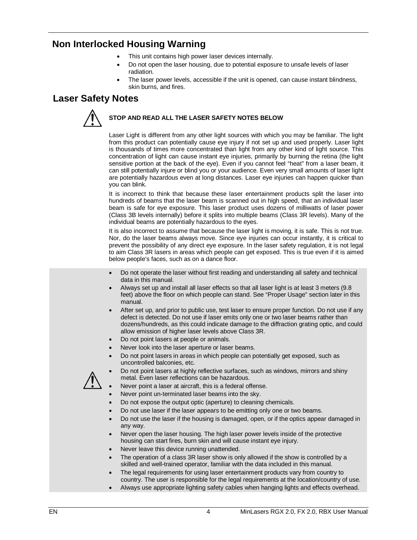### **Non Interlocked Housing Warning**

- This unit contains high power laser devices internally.
- Do not open the laser housing, due to potential exposure to unsafe levels of laser radiation.
- The laser power levels, accessible if the unit is opened, can cause instant blindness, skin burns, and fires.

### **Laser Safety Notes**



### **STOP AND READ ALL THE LASER SAFETY NOTES BELOW**

Laser Light is different from any other light sources with which you may be familiar. The light from this product can potentially cause eye injury if not set up and used properly. Laser light is thousands of times more concentrated than light from any other kind of light source. This concentration of light can cause instant eye injuries, primarily by burning the retina (the light sensitive portion at the back of the eye). Even if you cannot feel "heat" from a laser beam, it can still potentially injure or blind you or your audience. Even very small amounts of laser light are potentially hazardous even at long distances. Laser eye injuries can happen quicker than you can blink.

It is incorrect to think that because these laser entertainment products split the laser into hundreds of beams that the laser beam is scanned out in high speed, that an individual laser beam is safe for eye exposure. This laser product uses dozens of milliwatts of laser power (Class 3B levels internally) before it splits into multiple beams (Class 3R levels). Many of the individual beams are potentially hazardous to the eyes.

It is also incorrect to assume that because the laser light is moving, it is safe. This is not true. Nor, do the laser beams always move. Since eye injuries can occur instantly, it is critical to prevent the possibility of any direct eye exposure. In the laser safety regulation, it is not legal to aim Class 3R lasers in areas which people can get exposed. This is true even if it is aimed below people's faces, such as on a dance floor.

- Do not operate the laser without first reading and understanding all safety and technical data in this manual.
- Always set up and install all laser effects so that all laser light is at least 3 meters (9.8 feet) above the floor on which people can stand. See "Proper Usage" section later in this manual.
- After set up, and prior to public use, test laser to ensure proper function. Do not use if any defect is detected. Do not use if laser emits only one or two laser beams rather than dozens/hundreds, as this could indicate damage to the diffraction grating optic, and could allow emission of higher laser levels above Class 3R.
- Do not point lasers at people or animals.
- Never look into the laser aperture or laser beams.
- Do not point lasers in areas in which people can potentially get exposed, such as uncontrolled balconies, etc.
- 
- Do not point lasers at highly reflective surfaces, such as windows, mirrors and shiny metal. Even laser reflections can be hazardous.
- Never point a laser at aircraft, this is a federal offense.
- Never point un-terminated laser beams into the sky.
- Do not expose the output optic (aperture) to cleaning chemicals.
- Do not use laser if the laser appears to be emitting only one or two beams.
- Do not use the laser if the housing is damaged, open, or if the optics appear damaged in any way.
- Never open the laser housing. The high laser power levels inside of the protective housing can start fires, burn skin and will cause instant eye injury.
- Never leave this device running unattended.
- The operation of a class 3R laser show is only allowed if the show is controlled by a skilled and well-trained operator, familiar with the data included in this manual.
- The legal requirements for using laser entertainment products vary from country to country. The user is responsible for the legal requirements at the location/country of use.
- Always use appropriate lighting safety cables when hanging lights and effects overhead.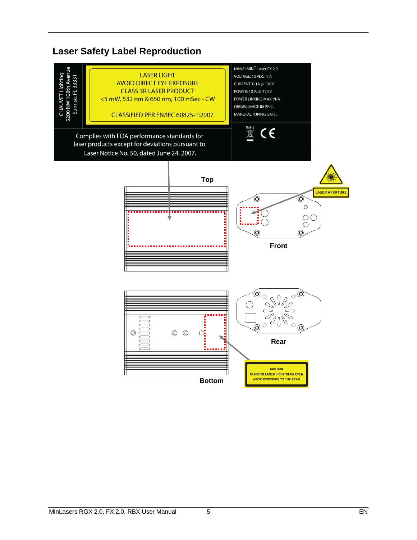### **Laser Safety Label Reproduction**

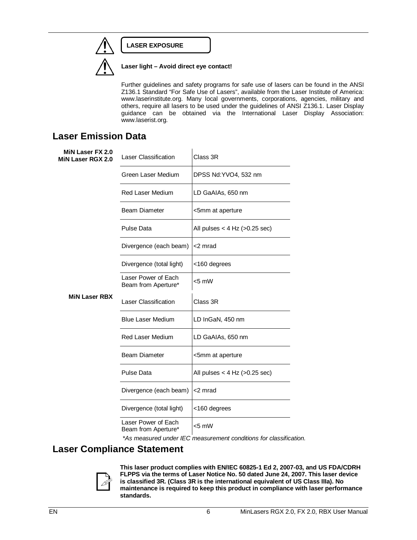### **LASER EXPOSURE**



### **Laser light – Avoid direct eye contact!**

Further guidelines and safety programs for safe use of lasers can be found in the ANSI Z136.1 Standard "For Safe Use of Lasers", available from the Laser Institute of America: www.laserinstitute.org. Many local governments, corporations, agencies, military and others, require all lasers to be used under the guidelines of ANSI Z136.1. Laser Display guidance can be obtained via the International Laser Display Association: www.laserist.org.

### **Laser Emission Data**

| MiN Laser FX 2.0<br>MiN Laser RGX 2.0 | Laser Classification                       | Class 3R                            |
|---------------------------------------|--------------------------------------------|-------------------------------------|
|                                       | Green Laser Medium                         | DPSS Nd:YVO4, 532 nm                |
|                                       | <b>Red Laser Medium</b>                    | LD GaAIAs, 650 nm                   |
|                                       | <b>Beam Diameter</b>                       | <5mm at aperture                    |
|                                       | Pulse Data                                 | All pulses $<$ 4 Hz ( $>$ 0.25 sec) |
|                                       | Divergence (each beam)                     | <2 mrad                             |
|                                       | Divergence (total light)                   | <160 degrees                        |
|                                       | Laser Power of Each<br>Beam from Aperture* | $<$ 5 mW                            |
| <b>MiN Laser RBX</b>                  | Laser Classification                       | Class 3R                            |
|                                       | <b>Blue Laser Medium</b>                   | LD InGaN, 450 nm                    |
|                                       | <b>Red Laser Medium</b>                    | LD GaAIAs, 650 nm                   |
|                                       | <b>Beam Diameter</b>                       | <5mm at aperture                    |
|                                       | <b>Pulse Data</b>                          | All pulses $<$ 4 Hz ( $>$ 0.25 sec) |
|                                       | Divergence (each beam)                     | <2 mrad                             |
|                                       | Divergence (total light)                   | <160 degrees                        |
|                                       | Laser Power of Each<br>Beam from Aperture* | $< 5$ mW                            |

*\*As measured under IEC measurement conditions for classification.*

### **Laser Compliance Statement**



**This laser product complies with EN/IEC 60825-1 Ed 2, 2007-03, and US FDA/CDRH FLPPS via the terms of Laser Notice No. 50 dated June 24, 2007. This laser device is classified 3R. (Class 3R is the international equivalent of US Class IIIa). No maintenance is required to keep this product in compliance with laser performance standards.**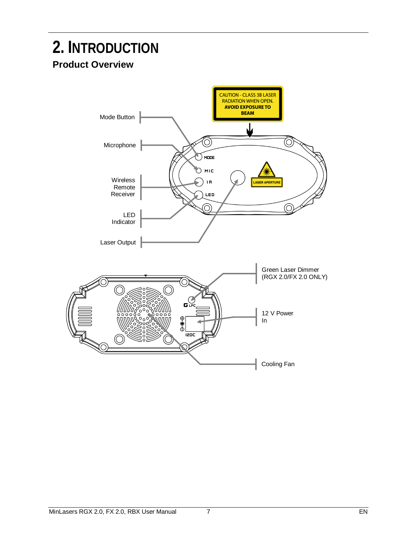### **2. INTRODUCTION Product Overview**

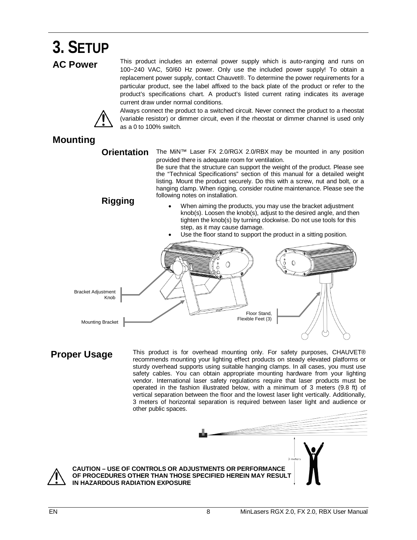

**CAUTION – USE OF CONTROLS OR ADJUSTMENTS OR PERFORMANCE OF PROCEDURES OTHER THAN THOSE SPECIFIED HEREIN MAY RESULT IN HAZARDOUS RADIATION EXPOSURE**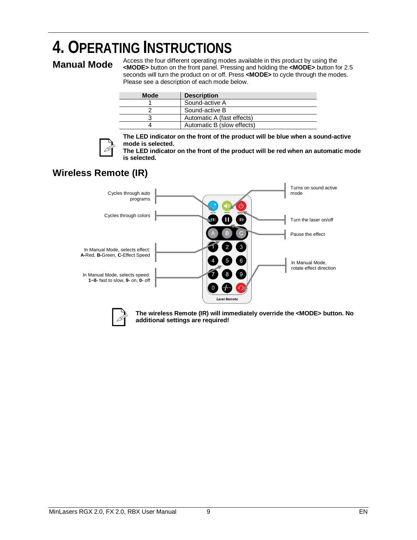# **4. OPERATING INSTRUCTIONS**<br>Manual Made Access the four different operating modes available in this product by using the

**Manual Mode** Access the four different operating modes available in this product by using the <br>**Manual Mode** <MODE> button on the front panel. Pressing and holding the <MODE> button for 2.5 seconds will turn the product on or off. Press **<MODE>** to cycle through the modes. Please see a description of each mode below.

| <b>Mode</b> | <b>Description</b>         |
|-------------|----------------------------|
|             | Sound-active A             |
|             | Sound-active B             |
|             | Automatic A (fast effects) |
|             | Automatic B (slow effects) |



**The LED indicator on the front of the product will be blue when a sound-active mode is selected.**

**The LED indicator on the front of the product will be red when an automatic mode is selected.**

### **Wireless Remote (IR)**



**The wireless Remote (IR) will immediately override the <MODE> button. No additional settings are required!**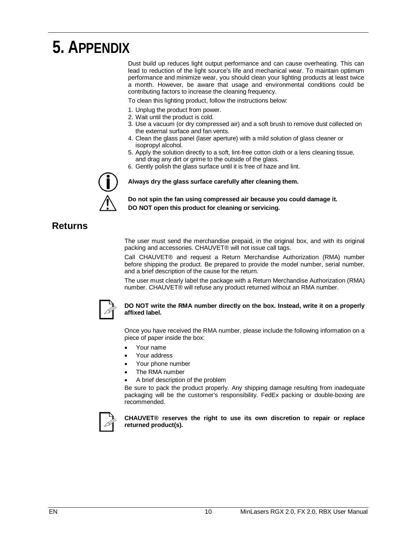## **5. APPENDIX**

Dust build up reduces light output performance and can cause overheating. This can lead to reduction of the light source's life and mechanical wear. To maintain optimum performance and minimize wear, you should clean your lighting products at least twice a month. However, be aware that usage and environmental conditions could be contributing factors to increase the cleaning frequency.

To clean this lighting product, follow the instructions below:

- 1. Unplug the product from power.
- 2. Wait until the product is cold.
- 3. Use a vacuum (or dry compressed air) and a soft brush to remove dust collected on the external surface and fan vents.
- 4. Clean the glass panel (laser aperture) with a mild solution of glass cleaner or isopropyl alcohol.
- 5. Apply the solution directly to a soft, lint-free cotton cloth or a lens cleaning tissue, and drag any dirt or grime to the outside of the glass.
- 6. Gently polish the glass surface until it is free of haze and lint.

**Always dry the glass surface carefully after cleaning them.**

**Do not spin the fan using compressed air because you could damage it. DO NOT open this product for cleaning or servicing.**

### **Returns**

The user must send the merchandise prepaid, in the original box, and with its original packing and accessories. CHAUVET® will not issue call tags.

Call CHAUVET® and request a Return Merchandise Authorization (RMA) number before shipping the product. Be prepared to provide the model number, serial number, and a brief description of the cause for the return.

The user must clearly label the package with a Return Merchandise Authorization (RMA) number. CHAUVET® will refuse any product returned without an RMA number.



#### **DO NOT write the RMA number directly on the box. Instead, write it on a properly affixed label.**

Once you have received the RMA number, please include the following information on a piece of paper inside the box:

- Your name
- Your address
- Your phone number
- The RMA number
- A brief description of the problem

Be sure to pack the product properly. Any shipping damage resulting from inadequate packaging will be the customer's responsibility. FedEx packing or double-boxing are recommended.



**CHAUVET® reserves the right to use its own discretion to repair or replace returned product(s).**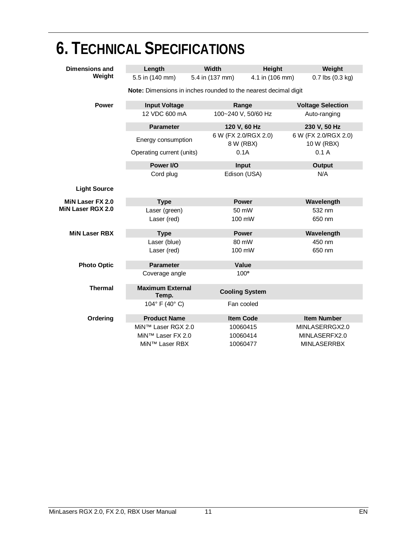| <b>6. TECHNICAL SPECIFICATIONS</b> |                                                                 |                 |                                   |                 |                                    |  |
|------------------------------------|-----------------------------------------------------------------|-----------------|-----------------------------------|-----------------|------------------------------------|--|
| <b>Dimensions and</b>              | Length                                                          | <b>Width</b>    |                                   | Height          | Weight                             |  |
| Weight                             | 5.5 in (140 mm)                                                 | 5.4 in (137 mm) |                                   | 4.1 in (106 mm) | $0.7$ lbs $(0.3$ kg)               |  |
|                                    | Note: Dimensions in inches rounded to the nearest decimal digit |                 |                                   |                 |                                    |  |
| <b>Power</b>                       | <b>Input Voltage</b>                                            |                 | Range                             |                 | <b>Voltage Selection</b>           |  |
|                                    | 12 VDC 600 mA                                                   |                 | 100~240 V, 50/60 Hz               |                 | Auto-ranging                       |  |
|                                    | <b>Parameter</b>                                                |                 | 120 V, 60 Hz                      |                 | 230 V, 50 Hz                       |  |
|                                    | Energy consumption                                              |                 | 6 W (FX 2.0/RGX 2.0)<br>8 W (RBX) |                 | 6 W (FX 2.0/RGX 2.0)<br>10 W (RBX) |  |
|                                    | Operating current (units)                                       |                 | 0.1A                              |                 | 0.1A                               |  |
|                                    | Power I/O                                                       |                 | Input                             |                 | <b>Output</b>                      |  |
|                                    | Cord plug                                                       |                 | Edison (USA)                      |                 | N/A                                |  |
| <b>Light Source</b>                |                                                                 |                 |                                   |                 |                                    |  |
| MiN Laser FX 2.0                   | <b>Type</b>                                                     |                 | <b>Power</b>                      |                 | Wavelength                         |  |
| MiN Laser RGX 2.0                  | Laser (green)                                                   |                 | 50 mW                             |                 | 532 nm                             |  |
|                                    | Laser (red)                                                     |                 | 100 mW                            |                 | 650 nm                             |  |
| <b>MiN Laser RBX</b>               | <b>Type</b>                                                     |                 | <b>Power</b>                      |                 | Wavelength                         |  |
|                                    | Laser (blue)                                                    |                 | 80 mW                             |                 | 450 nm                             |  |
|                                    | Laser (red)                                                     |                 | 100 mW                            |                 | 650 nm                             |  |
| <b>Photo Optic</b>                 | <b>Parameter</b>                                                |                 | Value                             |                 |                                    |  |
|                                    | Coverage angle                                                  |                 | 100 <sup>°</sup>                  |                 |                                    |  |
| <b>Thermal</b>                     | <b>Maximum External</b><br>Temp.                                |                 | <b>Cooling System</b>             |                 |                                    |  |
|                                    | 104° F (40° C)                                                  |                 | Fan cooled                        |                 |                                    |  |
| Ordering                           | <b>Product Name</b>                                             |                 | <b>Item Code</b>                  |                 | <b>Item Number</b>                 |  |
|                                    | MiN™ Laser RGX 2.0                                              |                 | 10060415                          |                 | MINLASERRGX2.0                     |  |
|                                    | MiN™ Laser FX 2.0                                               |                 | 10060414                          |                 | MINLASERFX2.0                      |  |
|                                    | MiN™ Laser RBX                                                  |                 | 10060477                          |                 | <b>MINLASERRBX</b>                 |  |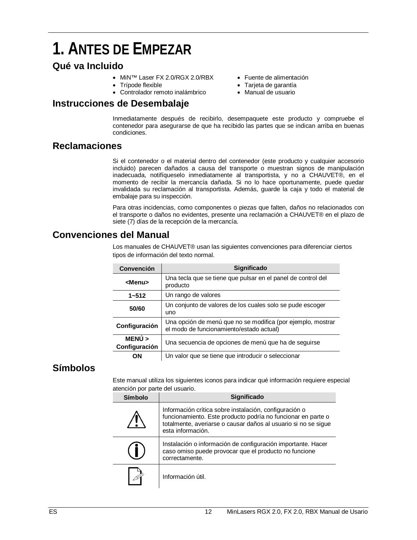### **1. ANTES DE EMPEZAR**

### **Qué va Incluido**

- MiN™ Laser FX 2.0/RGX 2.0/RBX
- Trípode flexible
- Controlador remoto inalámbrico
- Fuente de alimentación
	- Tarjeta de garantía
	- Manual de usuario

### **Instrucciones de Desembalaje**

Inmediatamente después de recibirlo, desempaquete este producto y compruebe el contenedor para asegurarse de que ha recibido las partes que se indican arriba en buenas condiciones.

### **Reclamaciones**

Si el contenedor o el material dentro del contenedor (este producto y cualquier accesorio incluido) parecen dañados a causa del transporte o muestran signos de manipulación inadecuada, notifíqueselo inmediatamente al transportista, y no a CHAUVET®, en el momento de recibir la mercancía dañada. Si no lo hace oportunamente, puede quedar invalidada su reclamación al transportista. Además, guarde la caja y todo el material de embalaje para su inspección.

Para otras incidencias, como componentes o piezas que falten, daños no relacionados con el transporte o daños no evidentes, presente una reclamación a CHAUVET® en el plazo de siete (7) días de la recepción de la mercancía.

### **Convenciones del Manual**

Los manuales de CHAUVET® usan las siguientes convenciones para diferenciar ciertos tipos de información del texto normal.

| <b>Convención</b>     | Significado                                                                                             |
|-----------------------|---------------------------------------------------------------------------------------------------------|
| <menu></menu>         | Una tecla que se tiene que pulsar en el panel de control del<br>producto                                |
| $1 - 512$             | Un rango de valores                                                                                     |
| 50/60                 | Un conjunto de valores de los cuales solo se pude escoger<br>uno                                        |
| Configuración         | Una opción de menú que no se modifica (por ejemplo, mostrar<br>el modo de funcionamiento/estado actual) |
| MENÚ<br>Configuración | Una secuencia de opciones de menú que ha de seguirse                                                    |
| OΝ                    | Un valor que se tiene que introducir o seleccionar                                                      |

### **Símbolos**

Este manual utiliza los siguientes iconos para indicar qué información requiere especial atención por parte del usuario.

| Símbolo | <b>Significado</b>                                                                                                                                                                                            |
|---------|---------------------------------------------------------------------------------------------------------------------------------------------------------------------------------------------------------------|
|         | Información crítica sobre instalación, configuración o<br>funcionamiento. Este producto podría no funcionar en parte o<br>totalmente, averiarse o causar daños al usuario si no se sigue<br>esta información. |
|         | Instalación o información de configuración importante. Hacer<br>caso omiso puede provocar que el producto no funcione<br>correctamente.                                                                       |
|         | Información útil.                                                                                                                                                                                             |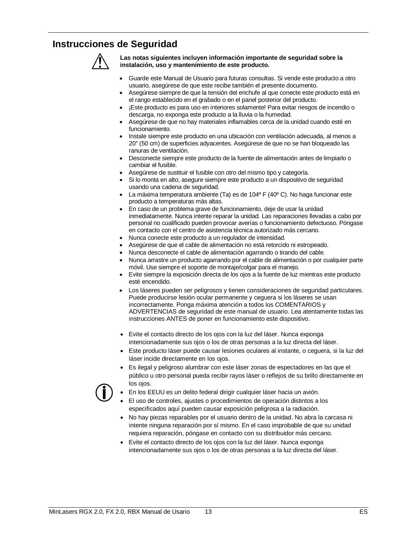### **Instrucciones de Seguridad**



**Las notas siguientes incluyen información importante de seguridad sobre la instalación, uso y mantenimiento de este producto.**

- Guarde este Manual de Usuario para futuras consultas. Si vende este producto a otro usuario, asegúrese de que este recibe también el presente documento.
- Asegúrese siempre de que la tensión del enchufe al que conecte este producto está en el rango establecido en el grabado o en el panel posterior del producto.
- ¡Este producto es para uso en interiores solamente! Para evitar riesgos de incendio o descarga, no exponga este producto a la lluvia o la humedad.
- Asegúrese de que no hay materiales inflamables cerca de la unidad cuando esté en funcionamiento.
- Instale siempre este producto en una ubicación con ventilación adecuada, al menos a 20'' (50 cm) de superficies adyacentes. Asegúrese de que no se han bloqueado las ranuras de ventilación.
- Desconecte siempre este producto de la fuente de alimentación antes de limpiarlo o cambiar el fusible.
- Asegúrese de sustituir el fusible con otro del mismo tipo y categoría.
- Si lo monta en alto, asegure siempre este producto a un dispositivo de seguridad usando una cadena de seguridad.
- La máxima temperatura ambiente (Ta) es de 104º F (40º C). No haga funcionar este producto a temperaturas más altas.
- En caso de un problema grave de funcionamiento, deje de usar la unidad inmediatamente. Nunca intente reparar la unidad. Las reparaciones llevadas a cabo por personal no cualificado pueden provocar averías o funcionamiento defectuoso. Póngase en contacto con el centro de asistencia técnica autorizado más cercano.
- Nunca conecte este producto a un regulador de intensidad.
- Asegúrese de que el cable de alimentación no está retorcido ni estropeado.
- Nunca desconecte el cable de alimentación agarrando o tirando del cable.
- Nunca arrastre un producto agarrando por el cable de alimentación o por cualquier parte móvil. Use siempre el soporte de montaje/colgar para el manejo.
- Evite siempre la exposición directa de los ojos a la fuente de luz mientras este producto esté encendido.
- Los láseres pueden ser peligrosos y tienen consideraciones de seguridad particulares. Puede producirse lesión ocular permanente y ceguera si los láseres se usan incorrectamente. Ponga máxima atención a todos los COMENTARIOS y ADVERTENCIAS de seguridad de este manual de usuario. Lea atentamente todas las instrucciones ANTES de poner en funcionamiento este dispositivo.
- Evite el contacto directo de los ojos con la luz del láser. Nunca exponga intencionadamente sus ojos o los de otras personas a la luz directa del láser.
- Este producto láser puede causar lesiones oculares al instante, o ceguera, si la luz del láser incide directamente en los ojos.
- Es ilegal y peligroso alumbrar con este láser zonas de espectadores en las que el público u otro personal pueda recibir rayos láser o reflejos de su brillo directamente en los ojos.
- En los EEUU es un delito federal dirigir cualquier láser hacia un avión.
- El uso de controles, ajustes o procedimientos de operación distintos a los especificados aquí pueden causar exposición peligrosa a la radiación.
- No hay piezas reparables por el usuario dentro de la unidad. No abra la carcasa ni intente ninguna reparación por sí mismo. En el caso improbable de que su unidad requiera reparación, póngase en contacto con su distribuidor más cercano.
- Evite el contacto directo de los ojos con la luz del láser. Nunca exponga intencionadamente sus ojos o los de otras personas a la luz directa del láser.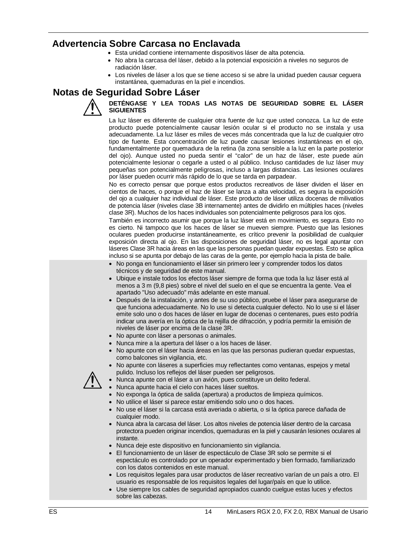### **Advertencia Sobre Carcasa no Enclavada**

- Esta unidad contiene internamente dispositivos láser de alta potencia.
- No abra la carcasa del láser, debido a la potencial exposición a niveles no seguros de radiación láser.
- Los niveles de láser a los que se tiene acceso si se abre la unidad pueden causar ceguera instantánea, quemaduras en la piel e incendios.

### **Notas de Seguridad Sobre Láser**



### **DETÉNGASE Y LEA TODAS LAS NOTAS DE SEGURIDAD SOBRE EL LÁSER SIGUIENTES**

La luz láser es diferente de cualquier otra fuente de luz que usted conozca. La luz de este producto puede potencialmente causar lesión ocular si el producto no se instala y usa adecuadamente. La luz láser es miles de veces más concentrada que la luz de cualquier otro tipo de fuente. Esta concentración de luz puede causar lesiones instantáneas en el ojo, fundamentalmente por quemadura de la retina (la zona sensible a la luz en la parte posterior del ojo). Aunque usted no pueda sentir el "calor" de un haz de láser, este puede aún potencialmente lesionar o cegarle a usted o al público. Incluso cantidades de luz láser muy pequeñas son potencialmente peligrosas, incluso a largas distancias. Las lesiones oculares por láser pueden ocurrir más rápido de lo que se tarda en parpadear.

No es correcto pensar que porque estos productos recreativos de láser dividen el láser en cientos de haces, o porque el haz de láser se lanza a alta velocidad, es segura la exposición del ojo a cualquier haz individual de láser. Este producto de láser utiliza docenas de milivatios de potencia láser (niveles clase 3B internamente) antes de dividirlo en múltiples haces (niveles clase 3R). Muchos de los haces individuales son potencialmente peligrosos para los ojos.

También es incorrecto asumir que porque la luz láser está en movimiento, es segura. Esto no es cierto. Ni tampoco que los haces de láser se mueven siempre. Puesto que las lesiones oculares pueden producirse instantáneamente, es crítico prevenir la posibilidad de cualquier exposición directa al ojo. En las disposiciones de seguridad láser, no es legal apuntar con láseres Clase 3R hacia áreas en las que las personas puedan quedar expuestas. Esto se aplica incluso si se apunta por debajo de las caras de la gente, por ejemplo hacia la pista de baile.

- No ponga en funcionamiento el láser sin primero leer y comprender todos los datos técnicos y de seguridad de este manual.
- Ubique e instale todos los efectos láser siempre de forma que toda la luz láser está al menos a 3 m (9,8 pies) sobre el nivel del suelo en el que se encuentra la gente. Vea el apartado "Uso adecuado" más adelante en este manual.
- Después de la instalación, y antes de su uso público, pruebe el láser para asegurarse de que funciona adecuadamente. No lo use si detecta cualquier defecto. No lo use si el láser emite solo uno o dos haces de láser en lugar de docenas o centenares, pues esto podría indicar una avería en la óptica de la rejilla de difracción, y podría permitir la emisión de niveles de láser por encima de la clase 3R.
- No apunte con láser a personas o animales.
- Nunca mire a la apertura del láser o a los haces de láser.
- No apunte con el láser hacia áreas en las que las personas pudieran quedar expuestas, como balcones sin vigilancia, etc.
- No apunte con láseres a superficies muy reflectantes como ventanas, espejos y metal pulido. Incluso los reflejos del láser pueden ser peligrosos.
- Nunca apunte con el láser a un avión, pues constituye un delito federal.
	- Nunca apunte hacia el cielo con haces láser sueltos.
	- No exponga la óptica de salida (apertura) a productos de limpieza químicos.
	- No utilice el láser si parece estar emitiendo solo uno o dos haces.
	- No use el láser si la carcasa está averiada o abierta, o si la óptica parece dañada de cualquier modo.
	- Nunca abra la carcasa del láser. Los altos niveles de potencia láser dentro de la carcasa protectora pueden originar incendios, quemaduras en la piel y causarán lesiones oculares al instante.
	- Nunca deje este dispositivo en funcionamiento sin vigilancia.
	- El funcionamiento de un láser de espectáculo de Clase 3R solo se permite si el espectáculo es controlado por un operador experimentado y bien formado, familiarizado con los datos contenidos en este manual.
	- Los requisitos legales para usar productos de láser recreativo varían de un país a otro. El usuario es responsable de los requisitos legales del lugar/país en que lo utilice.
	- Use siempre los cables de seguridad apropiados cuando cuelgue estas luces y efectos sobre las cabezas.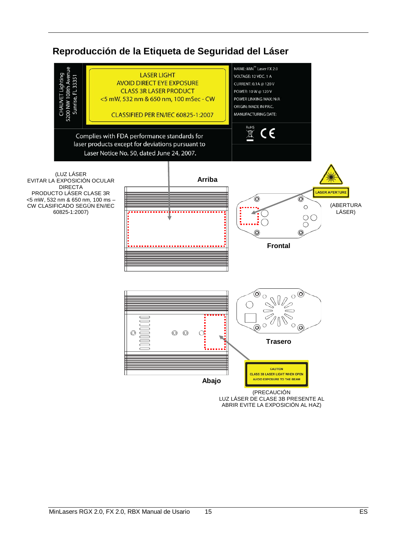### **Reproducción de la Etiqueta de Seguridad del Láser**



ABRIR EVITE LA EXPOSICIÓN AL HAZ)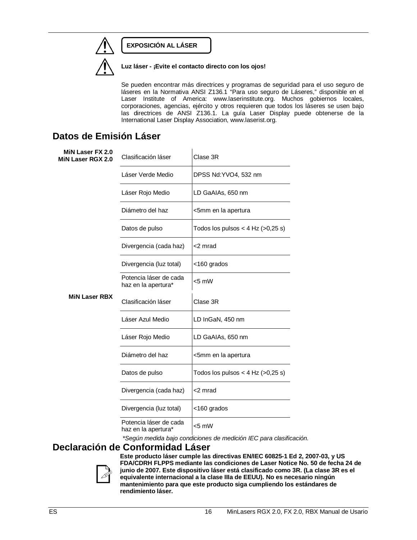### **EXPOSICIÓN AL LÁSER**



**Luz láser - ¡Evite el contacto directo con los ojos!**

Se pueden encontrar más directrices y programas de seguridad para el uso seguro de láseres en la Normativa ANSI Z136.1 "Para uso seguro de Láseres," disponible en el Laser Institute of America: www.laserinstitute.org. Muchos gobiernos locales, corporaciones, agencias, ejército y otros requieren que todos los láseres se usen bajo las directrices de ANSI Z136.1. La guía Laser Display puede obtenerse de la International Laser Display Association, www.laserist.org.

### **Datos de Emisión Láser**

| MiN Laser FX 2.0<br>MiN Laser RGX 2.0 | Clasificación láser                           | Clase 3R                            |
|---------------------------------------|-----------------------------------------------|-------------------------------------|
|                                       | Láser Verde Medio                             | DPSS Nd:YVO4, 532 nm                |
|                                       | Láser Rojo Medio                              | LD GaAIAs, 650 nm                   |
|                                       | Diámetro del haz                              | <5mm en la apertura                 |
|                                       | Datos de pulso                                | Todos los pulsos < 4 Hz $(>0,25 s)$ |
|                                       | Divergencia (cada haz)                        | <2 mrad                             |
|                                       | Divergencia (luz total)                       | <160 grados                         |
|                                       | Potencia láser de cada<br>haz en la apertura* | $<$ 5 mW                            |
| <b>MiN Laser RBX</b>                  | Clasificación láser                           | Clase 3R                            |
|                                       | Láser Azul Medio                              | LD InGaN, 450 nm                    |
|                                       | Láser Rojo Medio                              | LD GaAIAs, 650 nm                   |
|                                       | Diámetro del haz                              | <5mm en la apertura                 |
|                                       | Datos de pulso                                | Todos los pulsos < 4 Hz $(>0,25 s)$ |
|                                       | Divergencia (cada haz)                        | <2 mrad                             |
|                                       | Divergencia (luz total)                       | <160 grados                         |
|                                       | Potencia láser de cada<br>haz en la apertura* | $< 5$ mW                            |

*\*Según medida bajo condiciones de medición IEC para clasificación.*

### **Declaración de Conformidad Láser**



**Este producto láser cumple las directivas EN/IEC 60825-1 Ed 2, 2007-03, y US FDA/CDRH FLPPS mediante las condiciones de Laser Notice No. 50 de fecha 24 de junio de 2007. Este dispositivo láser está clasificado como 3R. (La clase 3R es el equivalente internacional a la clase IIIa de EEUU). No es necesario ningún mantenimiento para que este producto siga cumpliendo los estándares de rendimiento láser.**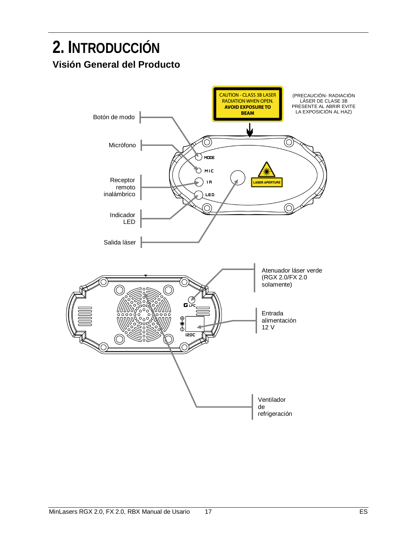### **2. INTRODUCCIÓN Visión General del Producto**

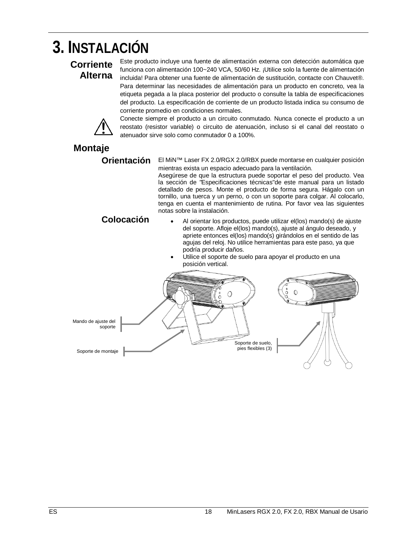## **3. INSTALACIÓN**

### **Corriente Alterna**

Este producto incluye una fuente de alimentación externa con detección automática que funciona con alimentación 100~240 VCA, 50/60 Hz. ¡Utilice solo la fuente de alimentación incluida! Para obtener una fuente de alimentación de sustitución, contacte con Chauvet®. Para determinar las necesidades de alimentación para un producto en concreto, vea la etiqueta pegada a la placa posterior del producto o consulte la tabla de especificaciones del producto. La especificación de corriente de un producto listada indica su consumo de corriente promedio en condiciones normales.



Conecte siempre el producto a un circuito conmutado. Nunca conecte el producto a un reostato (resistor variable) o circuito de atenuación, incluso si el canal del reostato o atenuador sirve solo como conmutador 0 a 100%.

### **Montaje**

**Orientación** El MiN™ Laser FX 2.0/RGX 2.0/RBX puede montarse en cualquier posición mientras exista un espacio adecuado para la ventilación.

Asegúrese de que la estructura puede soportar el peso del producto. Vea la sección de *"*Especificaciones técnicas"de este manual para un listado detallado de pesos. Monte el producto de forma segura. Hágalo con un tornillo, una tuerca y un perno, o con un soporte para colgar. Al colocarlo, tenga en cuenta el mantenimiento de rutina. Por favor vea las siguientes notas sobre la instalación.

### **Colocación**

- Al orientar los productos, puede utilizar el(los) mando(s) de ajuste del soporte. Afloje el(los) mando(s), ajuste al ángulo deseado, y apriete entonces el(los) mando(s) girándolos en el sentido de las agujas del reloj. No utilice herramientas para este paso, ya que podría producir daños.
- Utilice el soporte de suelo para apoyar el producto en una posición vertical.

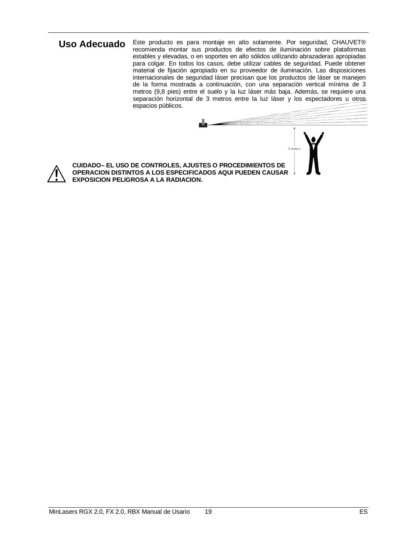Uso Adecuado Este producto es para montaje en alto solamente. Por seguridad, CHAUVET® recomienda montar sus productos de efectos de iluminación sobre plataformas estables y elevadas, o en soportes en alto sólidos utilizando abrazaderas apropiadas para colgar. En todos los casos, debe utilizar cables de seguridad. Puede obtener material de fijación apropiado en su proveedor de iluminación. Las disposiciones internacionales de seguridad láser precisan que los productos de láser se manejen de la forma mostrada a continuación, con una separación vertical mínima de 3 metros (9,8 pies) entre el suelo y la luz láser más baja. Además, se requiere una separación horizontal de 3 metros entre la luz láser y los espectadores u otros espacios públicos.



**CUIDADO– EL USO DE CONTROLES, AJUSTES O PROCEDIMIENTOS DE OPERACION DISTINTOS A LOS ESPECIFICADOS AQUI PUEDEN CAUSAR EXPOSICION PELIGROSA A LA RADIACION.**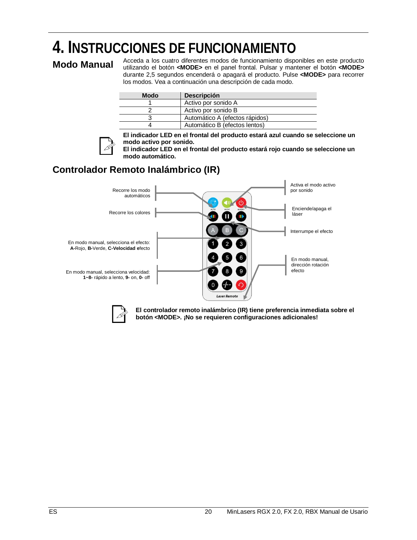# **4. INSTRUCCIONES DE FUNCIONAMIENTO**

**Modo Manual** Acceda a los cuatro diferentes modos de funcionamiento disponibles en este producto<br>**Modo Manual** utilizando el botón **<MODE>** en el panel frontal. Pulsar y mantener el botón **<MODE>** durante 2,5 segundos encenderá o apagará el producto. Pulse **<MODE>** para recorrer los modos. Vea a continuación una descripción de cada modo.

| <b>Modo</b> | <b>Descripción</b>             |
|-------------|--------------------------------|
|             | Activo por sonido A            |
|             | Activo por sonido B            |
|             | Automático A (efectos rápidos) |
|             | Automático B (efectos lentos)  |



**El indicador LED en el frontal del producto estará azul cuando se seleccione un modo activo por sonido.**

**El indicador LED en el frontal del producto estará rojo cuando se seleccione un modo automático.**

### **Controlador Remoto Inalámbrico (IR)**





**El controlador remoto inalámbrico (IR) tiene preferencia inmediata sobre el botón <MODE>. ¡No se requieren configuraciones adicionales!**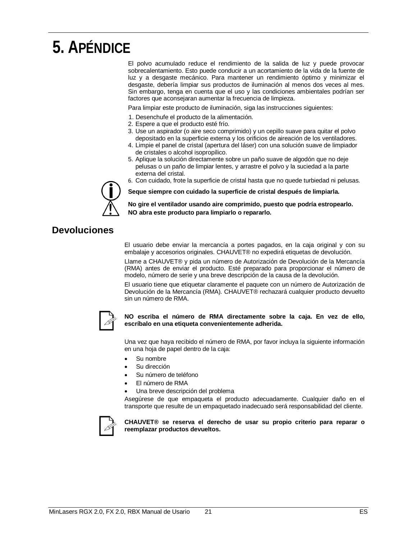## **5. APÉNDICE**

El polvo acumulado reduce el rendimiento de la salida de luz y puede provocar sobrecalentamiento. Esto puede conducir a un acortamiento de la vida de la fuente de luz y a desgaste mecánico. Para mantener un rendimiento óptimo y minimizar el desgaste, debería limpiar sus productos de iluminación al menos dos veces al mes. Sin embargo, tenga en cuenta que el uso y las condiciones ambientales podrían ser factores que aconsejaran aumentar la frecuencia de limpieza.

Para limpiar este producto de iluminación, siga las instrucciones siguientes:

- 1. Desenchufe el producto de la alimentación.
- 2. Espere a que el producto esté frío.
- 3. Use un aspirador (o aire seco comprimido) y un cepillo suave para quitar el polvo depositado en la superficie externa y los orificios de aireación de los ventiladores.
- 4. Limpie el panel de cristal (apertura del láser) con una solución suave de limpiador de cristales o alcohol isopropílico.
- 5. Aplique la solución directamente sobre un paño suave de algodón que no deje pelusas o un paño de limpiar lentes, y arrastre el polvo y la suciedad a la parte externa del cristal.
- 6. Con cuidado, frote la superficie de cristal hasta que no quede turbiedad ni pelusas.



**Seque siempre con cuidado la superficie de cristal después de limpiarla.**

**No gire el ventilador usando aire comprimido, puesto que podría estropearlo. NO abra este producto para limpiarlo o repararlo.**

### **Devoluciones**

El usuario debe enviar la mercancía a portes pagados, en la caja original y con su embalaje y accesorios originales. CHAUVET® no expedirá etiquetas de devolución.

Llame a CHAUVET® y pida un número de Autorización de Devolución de la Mercancía (RMA) antes de enviar el producto. Esté preparado para proporcionar el número de modelo, número de serie y una breve descripción de la causa de la devolución.

El usuario tiene que etiquetar claramente el paquete con un número de Autorización de Devolución de la Mercancía (RMA). CHAUVET® rechazará cualquier producto devuelto sin un número de RMA.



#### **NO escriba el número de RMA directamente sobre la caja. En vez de ello, escríbalo en una etiqueta convenientemente adherida.**

Una vez que haya recibido el número de RMA, por favor incluya la siguiente información en una hoja de papel dentro de la caja:

- Su nombre
- Su dirección
- Su número de teléfono
- El número de RMA
- Una breve descripción del problema

Asegúrese de que empaqueta el producto adecuadamente. Cualquier daño en el transporte que resulte de un empaquetado inadecuado será responsabilidad del cliente.



**CHAUVET® se reserva el derecho de usar su propio criterio para reparar o reemplazar productos devueltos.**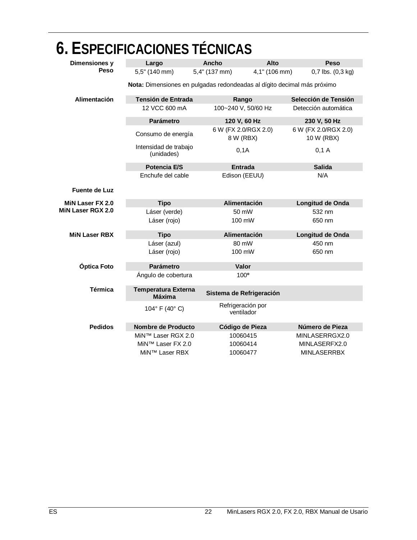|                      | 6. ESPECIFICACIONES TÉCNICAS                |                                                                         |                                     |
|----------------------|---------------------------------------------|-------------------------------------------------------------------------|-------------------------------------|
| Dimensiones y        | Largo                                       | Alto<br>Ancho                                                           | Peso                                |
| <b>Peso</b>          | 5,5" (140 mm)                               | 4,1" (106 mm)<br>$5.4"$ (137 mm)                                        | $0,7$ lbs. $(0,3$ kg)               |
|                      |                                             | Nota: Dimensiones en pulgadas redondeadas al dígito decimal más próximo |                                     |
| Alimentación         | Tensión de Entrada                          | Rango                                                                   | Selección de Tensión                |
|                      | 12 VCC 600 mA                               | 100~240 V, 50/60 Hz                                                     | Detección automática                |
|                      | <b>Parámetro</b>                            | 120 V, 60 Hz                                                            | 230 V, 50 Hz                        |
|                      | Consumo de energía                          | 6 W (FX 2.0/RGX 2.0)<br>8 W (RBX)                                       | 6 W (FX 2.0/RGX 2.0)<br>10 W (RBX)  |
|                      | Intensidad de trabajo<br>(unidades)         | 0,1A                                                                    | 0,1 A                               |
|                      | Potencia E/S                                | <b>Entrada</b>                                                          | <b>Salida</b>                       |
|                      | Enchufe del cable                           | Edison (EEUU)                                                           | N/A                                 |
| <b>Fuente de Luz</b> |                                             |                                                                         |                                     |
|                      |                                             |                                                                         |                                     |
| MiN Laser FX 2.0     | <b>Tipo</b>                                 | Alimentación                                                            | Longitud de Onda                    |
| MiN Laser RGX 2.0    | Láser (verde)                               | 50 mW                                                                   | 532 nm                              |
|                      | Láser (rojo)                                | 100 mW                                                                  | 650 nm                              |
| <b>MIN Laser RBX</b> | <b>Tipo</b>                                 | Alimentación                                                            | Longitud de Onda                    |
|                      | Láser (azul)                                | 80 mW                                                                   | 450 nm                              |
|                      | Láser (rojo)                                | 100 mW                                                                  | 650 nm                              |
| Óptica Foto          | Parámetro                                   | Valor                                                                   |                                     |
|                      | Ángulo de cobertura                         | 100°                                                                    |                                     |
| <b>Térmica</b>       | <b>Temperatura Externa</b><br><b>Máxima</b> | Sistema de Refrigeración                                                |                                     |
|                      | 104° F (40° C)                              | Refrigeración por<br>ventilador                                         |                                     |
| <b>Pedidos</b>       | Nombre de Producto                          | Código de Pieza                                                         | Número de Pieza                     |
|                      | MiN™ Laser RGX 2.0                          | 10060415                                                                | MINLASERRGX2.0                      |
|                      | MiN™ Laser FX 2.0<br>MiN™ Laser RBX         | 10060414<br>10060477                                                    | MINLASERFX2.0<br><b>MINLASERRBX</b> |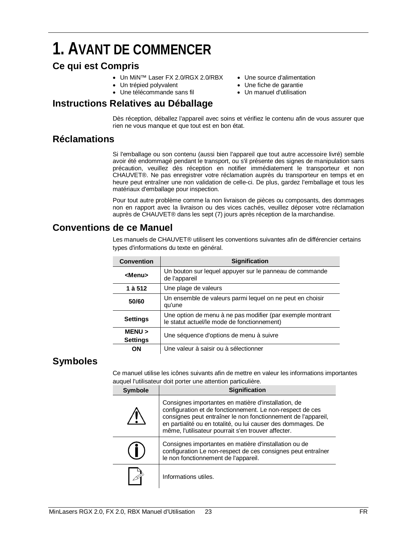### **1. AVANT DE COMMENCER**

### **Ce qui est Compris**

- Un MiN™ Laser FX 2.0/RGX 2.0/RBX
- Un trépied polyvalent
- Une télécommande sans fil

### **Instructions Relatives au Déballage**

- Une source d'alimentation
- Une fiche de garantie
- Un manuel d'utilisation

Dès réception, déballez l'appareil avec soins et vérifiez le contenu afin de vous assurer que rien ne vous manque et que tout est en bon état.

### **Réclamations**

Si l'emballage ou son contenu (aussi bien l'appareil que tout autre accessoire livré) semble avoir été endommagé pendant le transport, ou s'il présente des signes de manipulation sans précaution, veuillez dès réception en notifier immédiatement le transporteur et non CHAUVET®. Ne pas enregistrer votre réclamation auprès du transporteur en temps et en heure peut entraîner une non validation de celle-ci. De plus, gardez l'emballage et tous les matériaux d'emballage pour inspection.

Pour tout autre problème comme la non livraison de pièces ou composants, des dommages non en rapport avec la livraison ou des vices cachés, veuillez déposer votre réclamation auprès de CHAUVET® dans les sept (7) jours après réception de la marchandise.

### **Conventions de ce Manuel**

Les manuels de CHAUVET® utilisent les conventions suivantes afin de différencier certains types d'informations du texte en général.

| <b>Convention</b>         | <b>Signification</b>                                                                                      |
|---------------------------|-----------------------------------------------------------------------------------------------------------|
| <b><menu></menu></b>      | Un bouton sur lequel appuyer sur le panneau de commande<br>de l'appareil                                  |
| 1 à 512                   | Une plage de valeurs                                                                                      |
| 50/60                     | Un ensemble de valeurs parmi lequel on ne peut en choisir<br>qu'une                                       |
| <b>Settings</b>           | Une option de menu à ne pas modifier (par exemple montrant<br>le statut actuel/le mode de fonctionnement) |
| MENU ><br><b>Settings</b> | Une séquence d'options de menu à suivre                                                                   |
| OΝ                        | Une valeur à saisir ou à sélectionner                                                                     |

### **Symboles**

Ce manuel utilise les icônes suivants afin de mettre en valeur les informations importantes auquel l'utilisateur doit porter une attention particulière.

| <b>Symbole</b> | <b>Signification</b>                                                                                                                                                                                                                                                                                     |
|----------------|----------------------------------------------------------------------------------------------------------------------------------------------------------------------------------------------------------------------------------------------------------------------------------------------------------|
|                | Consignes importantes en matière d'installation, de<br>configuration et de fonctionnement. Le non-respect de ces<br>consignes peut entraîner le non fonctionnement de l'appareil,<br>en partialité ou en totalité, ou lui causer des dommages. De<br>même, l'utilisateur pourrait s'en trouver affecter. |
|                | Consignes importantes en matière d'installation ou de<br>configuration Le non-respect de ces consignes peut entraîner<br>le non fonctionnement de l'appareil.                                                                                                                                            |
|                | Informations utiles.                                                                                                                                                                                                                                                                                     |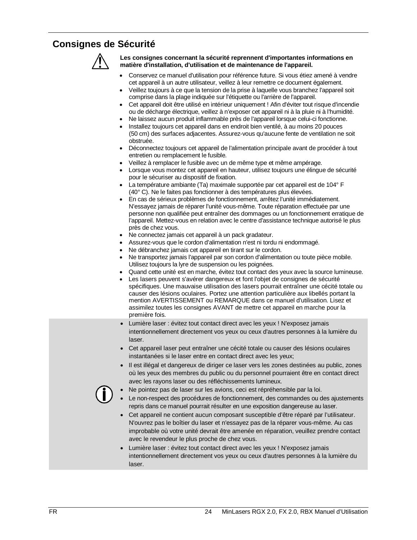### **Consignes de Sécurité**



**Les consignes concernant la sécurité reprennent d'importantes informations en matière d'installation, d'utilisation et de maintenance de l'appareil.**

- Conservez ce manuel d'utilisation pour référence future. Si vous étiez amené à vendre cet appareil à un autre utilisateur, veillez à leur remettre ce document également.
- Veillez toujours à ce que la tension de la prise à laquelle vous branchez l'appareil soit comprise dans la plage indiquée sur l'étiquette ou l'arrière de l'appareil.
- Cet appareil doit être utilisé en intérieur uniquement ! Afin d'éviter tout risque d'incendie ou de décharge électrique, veillez à n'exposer cet appareil ni à la pluie ni à l'humidité.
- Ne laissez aucun produit inflammable près de l'appareil lorsque celui-ci fonctionne.
- Installez toujours cet appareil dans en endroit bien ventilé, à au moins 20 pouces (50 cm) des surfaces adjacentes. Assurez-vous qu'aucune fente de ventilation ne soit obstruée.
- Déconnectez toujours cet appareil de l'alimentation principale avant de procéder à tout entretien ou remplacement le fusible.
- Veillez à remplacer le fusible avec un de même type et même ampérage.
- Lorsque vous montez cet appareil en hauteur, utilisez toujours une élingue de sécurité pour le sécuriser au dispositif de fixation.
- La température ambiante (Ta) maximale supportée par cet appareil est de 104° F (40° C). Ne le faites pas fonctionner à des températures plus élevées.
- En cas de sérieux problèmes de fonctionnement, arrêtez l'unité immédiatement. N'essayez jamais de réparer l'unité vous-même. Toute réparation effectuée par une personne non qualifiée peut entraîner des dommages ou un fonctionnement erratique de l'appareil. Mettez-vous en relation avec le centre d'assistance technique autorisé le plus près de chez vous.
- Ne connectez jamais cet appareil à un pack gradateur.
- Assurez-vous que le cordon d'alimentation n'est ni tordu ni endommagé.
- Ne débranchez jamais cet appareil en tirant sur le cordon.
- Ne transportez jamais l'appareil par son cordon d'alimentation ou toute pièce mobile. Utilisez toujours la lyre de suspension ou les poignées.
- Quand cette unité est en marche, évitez tout contact des yeux avec la source lumineuse.
- Les lasers peuvent s'avérer dangereux et font l'objet de consignes de sécurité spécifiques. Une mauvaise utilisation des lasers pourrait entraîner une cécité totale ou causer des lésions oculaires. Portez une attention particulière aux libellés portant la mention AVERTISSEMENT ou REMARQUE dans ce manuel d'utilisation. Lisez et assimilez toutes les consignes AVANT de mettre cet appareil en marche pour la première fois.
- Lumière laser : évitez tout contact direct avec les yeux ! N'exposez jamais intentionnellement directement vos yeux ou ceux d'autres personnes à la lumière du laser.
- Cet appareil laser peut entraîner une cécité totale ou causer des lésions oculaires instantanées si le laser entre en contact direct avec les yeux;
- Il est illégal et dangereux de diriger ce laser vers les zones destinées au public, zones où les yeux des membres du public ou du personnel pourraient être en contact direct avec les rayons laser ou des réfléchissements lumineux.

• Ne pointez pas de laser sur les avions, ceci est répréhensible par la loi.

- Le non-respect des procédures de fonctionnement, des commandes ou des ajustements repris dans ce manuel pourrait résulter en une exposition dangereuse au laser.
	- Cet appareil ne contient aucun composant susceptible d'être réparé par l'utilisateur. N'ouvrez pas le boîtier du laser et n'essayez pas de la réparer vous-même. Au cas improbable où votre unité devrait être amenée en réparation, veuillez prendre contact avec le revendeur le plus proche de chez vous.
	- Lumière laser : évitez tout contact direct avec les yeux ! N'exposez jamais intentionnellement directement vos yeux ou ceux d'autres personnes à la lumière du laser.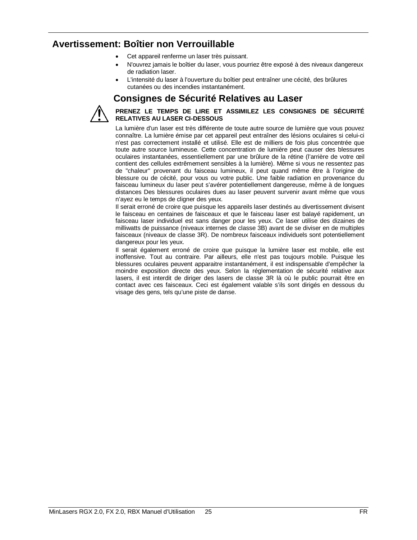### **Avertissement: Boîtier non Verrouillable**

- Cet appareil renferme un laser très puissant.
- N'ouvrez jamais le boîtier du laser, vous pourriez être exposé à des niveaux dangereux de radiation laser.
- L'intensité du laser à l'ouverture du boîtier peut entraîner une cécité, des brûlures cutanées ou des incendies instantanément.

### **Consignes de Sécurité Relatives au Laser**



#### **PRENEZ LE TEMPS DE LIRE ET ASSIMILEZ LES CONSIGNES DE SÉCURITÉ RELATIVES AU LASER CI-DESSOUS**

La lumière d'un laser est très différente de toute autre source de lumière que vous pouvez connaître. La lumière émise par cet appareil peut entraîner des lésions oculaires si celui-ci n'est pas correctement installé et utilisé. Elle est de milliers de fois plus concentrée que toute autre source lumineuse. Cette concentration de lumière peut causer des blessures oculaires instantanées, essentiellement par une brûlure de la rétine (l'arrière de votre œil contient des cellules extrêmement sensibles à la lumière). Même si vous ne ressentez pas de "chaleur" provenant du faisceau lumineux, il peut quand même être à l'origine de blessure ou de cécité, pour vous ou votre public. Une faible radiation en provenance du faisceau lumineux du laser peut s'avérer potentiellement dangereuse, même à de longues distances Des blessures oculaires dues au laser peuvent survenir avant même que vous n'ayez eu le temps de cligner des yeux.

Il serait erroné de croire que puisque les appareils laser destinés au divertissement divisent le faisceau en centaines de faisceaux et que le faisceau laser est balayé rapidement, un faisceau laser individuel est sans danger pour les yeux. Ce laser utilise des dizaines de milliwatts de puissance (niveaux internes de classe 3B) avant de se diviser en de multiples faisceaux (niveaux de classe 3R). De nombreux faisceaux individuels sont potentiellement dangereux pour les yeux.

Il serait également erroné de croire que puisque la lumière laser est mobile, elle est inoffensive. Tout au contraire. Par ailleurs, elle n'est pas toujours mobile. Puisque les blessures oculaires peuvent apparaitre instantanément, il est indispensable d'empêcher la moindre exposition directe des yeux. Selon la réglementation de sécurité relative aux lasers, il est interdit de diriger des lasers de classe 3R là où le public pourrait être en contact avec ces faisceaux. Ceci est également valable s'ils sont dirigés en dessous du visage des gens, tels qu'une piste de danse.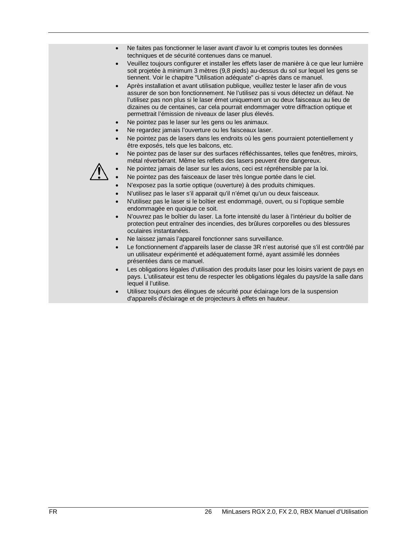- Ne faites pas fonctionner le laser avant d'avoir lu et compris toutes les données techniques et de sécurité contenues dans ce manuel.
- Veuillez toujours configurer et installer les effets laser de manière à ce que leur lumière soit projetée à minimum 3 mètres (9,8 pieds) au-dessus du sol sur lequel les gens se tiennent. Voir le chapitre "Utilisation adéquate" ci-après dans ce manuel.
- Après installation et avant utilisation publique, veuillez tester le laser afin de vous assurer de son bon fonctionnement. Ne l'utilisez pas si vous détectez un défaut. Ne l'utilisez pas non plus si le laser émet uniquement un ou deux faisceaux au lieu de dizaines ou de centaines, car cela pourrait endommager votre diffraction optique et permettrait l'émission de niveaux de laser plus élevés.
- Ne pointez pas le laser sur les gens ou les animaux.
- Ne regardez jamais l'ouverture ou les faisceaux laser.
- Ne pointez pas de lasers dans les endroits où les gens pourraient potentiellement y être exposés, tels que les balcons, etc.
- Ne pointez pas de laser sur des surfaces réfléchissantes, telles que fenêtres, miroirs, métal réverbérant. Même les reflets des lasers peuvent être dangereux.



- Ne pointez jamais de laser sur les avions, ceci est répréhensible par la loi.
- Ne pointez pas des faisceaux de laser très longue portée dans le ciel.
- N'exposez pas la sortie optique (ouverture) à des produits chimiques.
- N'utilisez pas le laser s'il apparait qu'il n'émet qu'un ou deux faisceaux.
- N'utilisez pas le laser si le boîtier est endommagé, ouvert, ou si l'optique semble endommagée en quoique ce soit.
- N'ouvrez pas le boîtier du laser. La forte intensité du laser à l'intérieur du boîtier de protection peut entraîner des incendies, des brûlures corporelles ou des blessures oculaires instantanées.
- Ne laissez jamais l'appareil fonctionner sans surveillance.
- Le fonctionnement d'appareils laser de classe 3R n'est autorisé que s'il est contrôlé par un utilisateur expérimenté et adéquatement formé, ayant assimilé les données présentées dans ce manuel.
- Les obligations légales d'utilisation des produits laser pour les loisirs varient de pays en pays. L'utilisateur est tenu de respecter les obligations légales du pays/de la salle dans lequel il l'utilise.
- Utilisez toujours des élingues de sécurité pour éclairage lors de la suspension d'appareils d'éclairage et de projecteurs à effets en hauteur.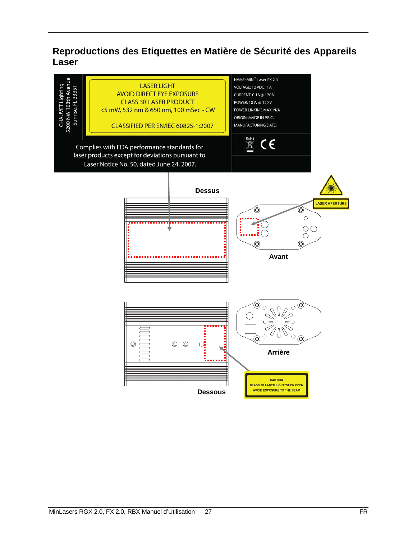### **Reproductions des Etiquettes en Matière de Sécurité des Appareils Laser**

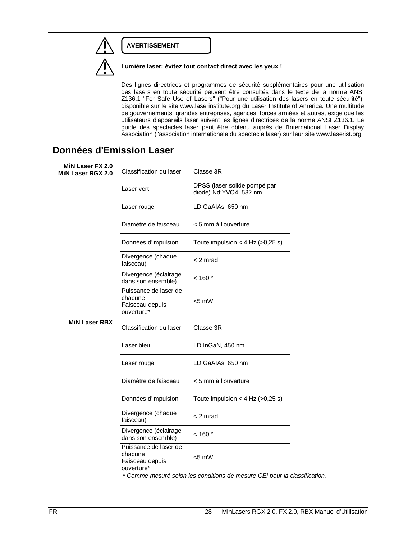### **AVERTISSEMENT**



**Lumière laser: évitez tout contact direct avec les yeux !** 

Des lignes directrices et programmes de sécurité supplémentaires pour une utilisation des lasers en toute sécurité peuvent être consultés dans le texte de la norme ANSI Z136.1 "For Safe Use of Lasers" ("Pour une utilisation des lasers en toute sécurité"), disponible sur le site www.laserinstitute.org du Laser Institute of America. Une multitude de gouvernements, grandes entreprises, agences, forces armées et autres, exige que les utilisateurs d'appareils laser suivent les lignes directrices de la norme ANSI Z136.1. Le guide des spectacles laser peut être obtenu auprès de l'International Laser Display Association (l'association internationale du spectacle laser) sur leur site www.laserist.org.

### **Données d'Emission Laser**

| MiN Laser FX 2.0<br>MiN Laser RGX 2.0 | Classification du laser                                           | Classe 3R                                              |
|---------------------------------------|-------------------------------------------------------------------|--------------------------------------------------------|
| <b>MiN Laser RBX</b>                  | Laser vert                                                        | DPSS (laser solide pompé par<br>diode) Nd:YVO4, 532 nm |
|                                       | Laser rouge                                                       | LD GaAIAs, 650 nm                                      |
|                                       | Diamètre de faisceau                                              | < 5 mm à l'ouverture                                   |
|                                       | Données d'impulsion                                               | Toute impulsion < 4 Hz $(>0,25 s)$                     |
|                                       | Divergence (chaque<br>faisceau)                                   | < 2 mrad                                               |
|                                       | Divergence (éclairage<br>dans son ensemble)                       | $<$ 160 $^{\circ}$                                     |
|                                       | Puissance de laser de<br>chacune<br>Faisceau depuis<br>ouverture* | <5 mW                                                  |
|                                       | Classification du laser                                           | Classe 3R                                              |
|                                       | Laser bleu                                                        | LD InGaN, 450 nm                                       |
|                                       | Laser rouge                                                       | LD GaAIAs, 650 nm                                      |
|                                       | Diamètre de faisceau                                              | < 5 mm à l'ouverture                                   |
|                                       | Données d'impulsion                                               | Toute impulsion < 4 Hz $(>0,25 s)$                     |
|                                       | Divergence (chaque<br>faisceau)                                   | < 2 mrad                                               |
|                                       | Divergence (éclairage<br>dans son ensemble)                       | $<$ 160 $^{\circ}$                                     |
|                                       | Puissance de laser de<br>chacune<br>Faisceau depuis<br>ouverture* | <5 mW                                                  |

*\* Comme mesuré selon les conditions de mesure CEI pour la classification.*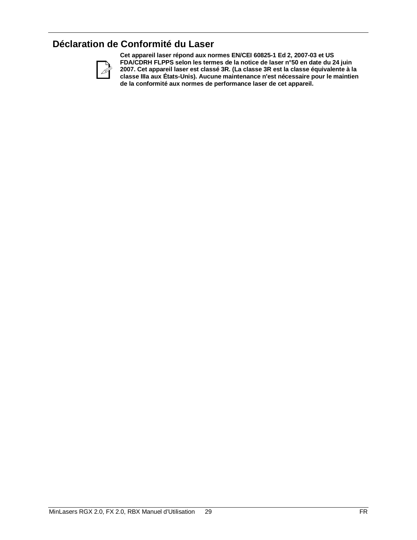### **Déclaration de Conformité du Laser**



**Cet appareil laser répond aux normes EN/CEI 60825-1 Ed 2, 2007-03 et US FDA/CDRH FLPPS selon les termes de la notice de laser n°50 en date du 24 juin 2007. Cet appareil laser est classé 3R. (La classe 3R est la classe équivalente à la classe IIIa aux États-Unis). Aucune maintenance n'est nécessaire pour le maintien de la conformité aux normes de performance laser de cet appareil.**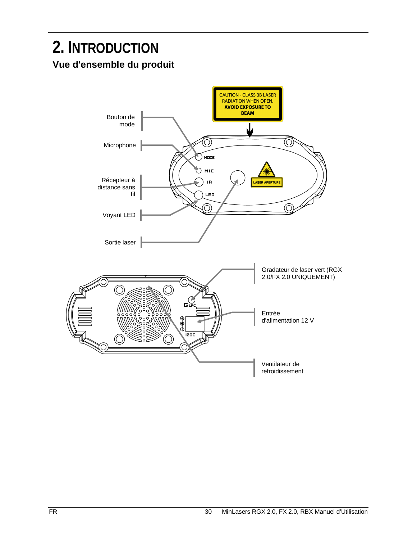### **2. INTRODUCTION Vue d'ensemble du produit**

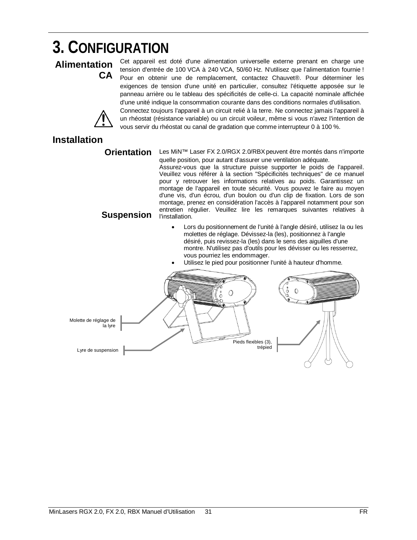## **3. CONFIGURATION**

### **Alimentation CA**

Cet appareil est doté d'une alimentation universelle externe prenant en charge une tension d'entrée de 100 VCA à 240 VCA, 50/60 Hz. N'utilisez que l'alimentation fournie ! Pour en obtenir une de remplacement, contactez Chauvet®. Pour déterminer les exigences de tension d'une unité en particulier, consultez l'étiquette apposée sur le panneau arrière ou le tableau des spécificités de celle-ci. La capacité nominale affichée d'une unité indique la consommation courante dans des conditions normales d'utilisation. Connectez toujours l'appareil à un circuit relié à la terre. Ne connectez jamais l'appareil à un rhéostat (résistance variable) ou un circuit voileur, même si vous n'avez l'intention de vous servir du rhéostat ou canal de gradation que comme interrupteur 0 à 100 %.

### **Installation**

**Orientation** Les MiN™ Laser FX 2.0/RGX 2.0/RBX peuvent être montés dans n'importe quelle position, pour autant d'assurer une ventilation adéquate.

Assurez-vous que la structure puisse supporter le poids de l'appareil. Veuillez vous référer à la section "Spécificités techniques" de ce manuel pour y retrouver les informations relatives au poids. Garantissez un montage de l'appareil en toute sécurité. Vous pouvez le faire au moyen d'une vis, d'un écrou, d'un boulon ou d'un clip de fixation. Lors de son montage, prenez en considération l'accès à l'appareil notamment pour son entretien régulier. Veuillez lire les remarques suivantes relatives à l'installation.

### **Suspension**

- Lors du positionnement de l'unité à l'angle désiré, utilisez la ou les molettes de réglage. Dévissez-la (les), positionnez à l'angle désiré, puis revissez-la (les) dans le sens des aiguilles d'une montre. N'utilisez pas d'outils pour les dévisser ou les resserrez, vous pourriez les endommager.
	- Utilisez le pied pour positionner l'unité à hauteur d'homme.

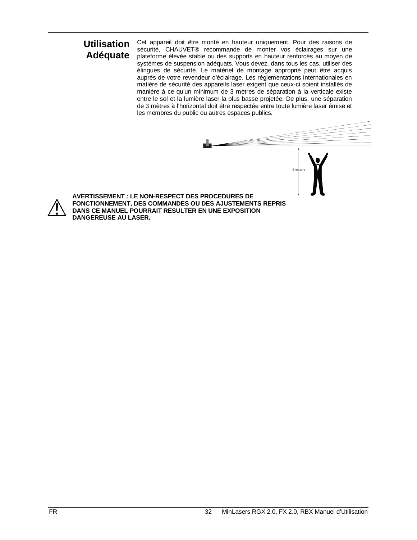### **Utilisation Adéquate**

Cet appareil doit être monté en hauteur uniquement. Pour des raisons de sécurité, CHAUVET® recommande de monter vos éclairages sur une plateforme élevée stable ou des supports en hauteur renforcés au moyen de systèmes de suspension adéquats. Vous devez, dans tous les cas, utiliser des élingues de sécurité. Le matériel de montage approprié peut être acquis auprès de votre revendeur d'éclairage. Les réglementations internationales en matière de sécurité des appareils laser exigent que ceux-ci soient installés de manière à ce qu'un minimum de 3 mètres de séparation à la verticale existe entre le sol et la lumière laser la plus basse projetée. De plus, une séparation de 3 mètres à l'horizontal doit être respectée entre toute lumière laser émise et les membres du public ou autres espaces publics.

**AVERTISSEMENT : LE NON-RESPECT DES PROCEDURES DE FONCTIONNEMENT, DES COMMANDES OU DES AJUSTEMENTS REPRIS DANS CE MANUEL POURRAIT RESULTER EN UNE EXPOSITION DANGEREUSE AU LASER.**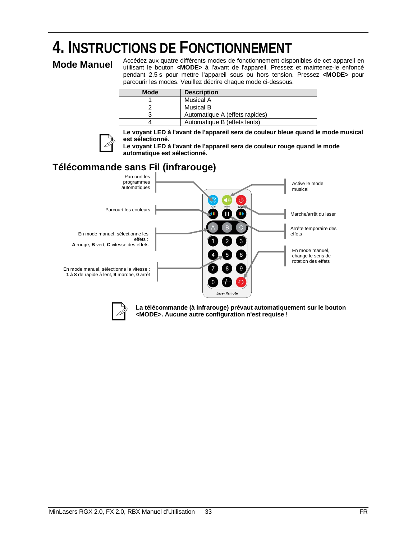# **4.** INSTRUCTIONS DE FONCTIONNEMENT<br>Mode Manual Accédez aux quatre différents modes de fonctionnement disponibles de cet appareil en

**Mode Manuel** Accédez aux quatre différents modes de fonctionnement disponibles de cet appareil en valor et utilisant le bouton **<MODE>** à l'avant de l'appareil. Pressez et maintenez-le enfoncé pendant 2,5 s pour mettre l'appareil sous ou hors tension. Pressez **<MODE>** pour parcourir les modes. Veuillez décrire chaque mode ci-dessous.

| <b>Mode</b> | <b>Description</b>             |
|-------------|--------------------------------|
|             | Musical A                      |
|             | Musical B                      |
|             | Automatique A (effets rapides) |
|             | Automatique B (effets lents)   |



**Le voyant LED à l'avant de l'appareil sera de couleur bleue quand le mode musical est sélectionné.**

**Le voyant LED à l'avant de l'appareil sera de couleur rouge quand le mode automatique est sélectionné.**

### **Télécommande sans Fil (infrarouge)**





**La télécommande (à infrarouge) prévaut automatiquement sur le bouton <MODE>. Aucune autre configuration n'est requise !**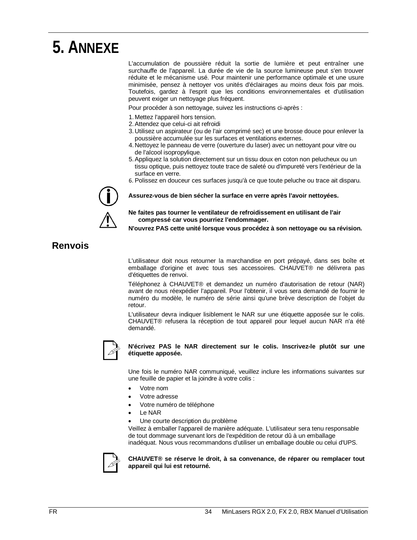### **5. ANNEXE**

L'accumulation de poussière réduit la sortie de lumière et peut entraîner une surchauffe de l'appareil. La durée de vie de la source lumineuse peut s'en trouver réduite et le mécanisme usé. Pour maintenir une performance optimale et une usure minimisée, pensez à nettoyer vos unités d'éclairages au moins deux fois par mois. Toutefois, gardez à l'esprit que les conditions environnementales et d'utilisation peuvent exiger un nettoyage plus fréquent.

Pour procéder à son nettoyage, suivez les instructions ci-après :

- 1. Mettez l'appareil hors tension.
- 2.Attendez que celui-ci ait refroidi
- 3.Utilisez un aspirateur (ou de l'air comprimé sec) et une brosse douce pour enlever la poussière accumulée sur les surfaces et ventilations externes.
- 4.Nettoyez le panneau de verre (ouverture du laser) avec un nettoyant pour vitre ou de l'alcool isopropylique.
- 5.Appliquez la solution directement sur un tissu doux en coton non pelucheux ou un tissu optique, puis nettoyez toute trace de saleté ou d'impureté vers l'extérieur de la surface en verre.
- 6. Polissez en douceur ces surfaces jusqu'à ce que toute peluche ou trace ait disparu.



**Assurez-vous de bien sécher la surface en verre après l'avoir nettoyées.**

**Ne faites pas tourner le ventilateur de refroidissement en utilisant de l'air compressé car vous pourriez l'endommager.**

**N'ouvrez PAS cette unité lorsque vous procédez à son nettoyage ou sa révision.**

### **Renvois**

L'utilisateur doit nous retourner la marchandise en port prépayé, dans ses boîte et emballage d'origine et avec tous ses accessoires. CHAUVET® ne délivrera pas d'étiquettes de renvoi.

Téléphonez à CHAUVET® et demandez un numéro d'autorisation de retour (NAR) avant de nous réexpédier l'appareil. Pour l'obtenir, il vous sera demandé de fournir le numéro du modèle, le numéro de série ainsi qu'une brève description de l'objet du retour.

L'utilisateur devra indiquer lisiblement le NAR sur une étiquette apposée sur le colis. CHAUVET® refusera la réception de tout appareil pour lequel aucun NAR n'a été demandé.



#### **N'écrivez PAS le NAR directement sur le colis. Inscrivez-le plutôt sur une étiquette apposée.**

Une fois le numéro NAR communiqué, veuillez inclure les informations suivantes sur une feuille de papier et la joindre à votre colis :

- Votre nom
- Votre adresse
- Votre numéro de téléphone
- Le NAR
- Une courte description du problème

Veillez à emballer l'appareil de manière adéquate. L'utilisateur sera tenu responsable de tout dommage survenant lors de l'expédition de retour dû à un emballage inadéquat. Nous vous recommandons d'utiliser un emballage double ou celui d'UPS.



#### **CHAUVET® se réserve le droit, à sa convenance, de réparer ou remplacer tout appareil qui lui est retourné.**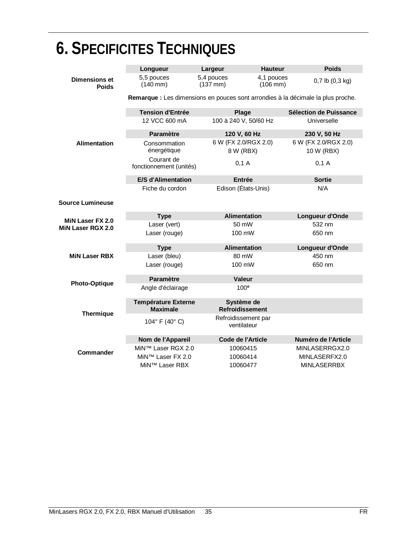| U. JI LUII IUITLJ TLUI IINIUULJ       |                                               |                                    |                                      |                                                                                  |  |
|---------------------------------------|-----------------------------------------------|------------------------------------|--------------------------------------|----------------------------------------------------------------------------------|--|
|                                       | Longueur                                      | Largeur                            | <b>Hauteur</b>                       | <b>Poids</b>                                                                     |  |
| <b>Dimensions et</b><br><b>Poids</b>  | 5,5 pouces<br>$(140 \, \text{mm})$            | 5,4 pouces<br>$(137 \, \text{mm})$ | 4,1 pouces<br>$(106 \, \text{mm})$   | $0,7$ lb $(0,3$ kg)                                                              |  |
|                                       |                                               |                                    |                                      | Remarque : Les dimensions en pouces sont arrondies à la décimale la plus proche. |  |
|                                       | <b>Tension d'Entrée</b>                       |                                    | Plage                                | Sélection de Puissance                                                           |  |
|                                       | 12 VCC 600 mA                                 |                                    | 100 à 240 V, 50/60 Hz                | Universelle                                                                      |  |
|                                       | <b>Paramètre</b>                              |                                    | 120 V, 60 Hz                         | 230 V, 50 Hz                                                                     |  |
| <b>Alimentation</b>                   | Consommation<br>énergétique                   | 8 W (RBX)                          | 6 W (FX 2.0/RGX 2.0)                 | 6 W (FX 2.0/RGX 2.0)<br>10 W (RBX)                                               |  |
|                                       | Courant de<br>fonctionnement (unités)         | 0,1 A                              |                                      | $0,1$ A                                                                          |  |
|                                       | <b>E/S d'Alimentation</b>                     |                                    | <b>Entrée</b>                        | <b>Sortie</b>                                                                    |  |
|                                       | Fiche du cordon                               |                                    | Edison (États-Unis)                  | N/A                                                                              |  |
| <b>Source Lumineuse</b>               |                                               |                                    |                                      |                                                                                  |  |
|                                       | <b>Type</b>                                   |                                    | <b>Alimentation</b>                  | Longueur d'Onde                                                                  |  |
| MiN Laser FX 2.0<br>MiN Laser RGX 2.0 | Laser (vert)                                  |                                    | 50 mW                                | 532 nm                                                                           |  |
|                                       | Laser (rouge)                                 |                                    | 100 mW                               | 650 nm                                                                           |  |
|                                       | <b>Type</b>                                   |                                    | <b>Alimentation</b>                  | Longueur d'Onde                                                                  |  |
| <b>MiN Laser RBX</b>                  | Laser (bleu)                                  |                                    | 80 mW                                | 450 nm                                                                           |  |
|                                       | Laser (rouge)                                 |                                    | 100 mW                               | 650 nm                                                                           |  |
| <b>Photo-Optique</b>                  | Paramètre                                     |                                    | <b>Valeur</b>                        |                                                                                  |  |
|                                       | Angle d'éclairage                             |                                    | 100 <sup>°</sup>                     |                                                                                  |  |
| <b>Thermique</b>                      | <b>Température Externe</b><br><b>Maximale</b> |                                    | Système de<br><b>Refroidissement</b> |                                                                                  |  |
|                                       | 104° F (40° C)                                |                                    | Refroidissement par<br>ventilateur   |                                                                                  |  |
| <b>Commander</b>                      | Nom de l'Appareil                             |                                    | Code de l'Article                    | Numéro de l'Article                                                              |  |
|                                       | MiN™ Laser RGX 2.0                            |                                    | 10060415                             | MINLASERRGX2.0                                                                   |  |
|                                       | MiN™ Laser FX 2.0                             |                                    | 10060414                             | MINLASERFX2.0                                                                    |  |
|                                       | MiN™ Laser RBX                                |                                    | 10060477                             | <b>MINLASERRBX</b>                                                               |  |

## **6. SPECIFICITES TECHNIQUES**